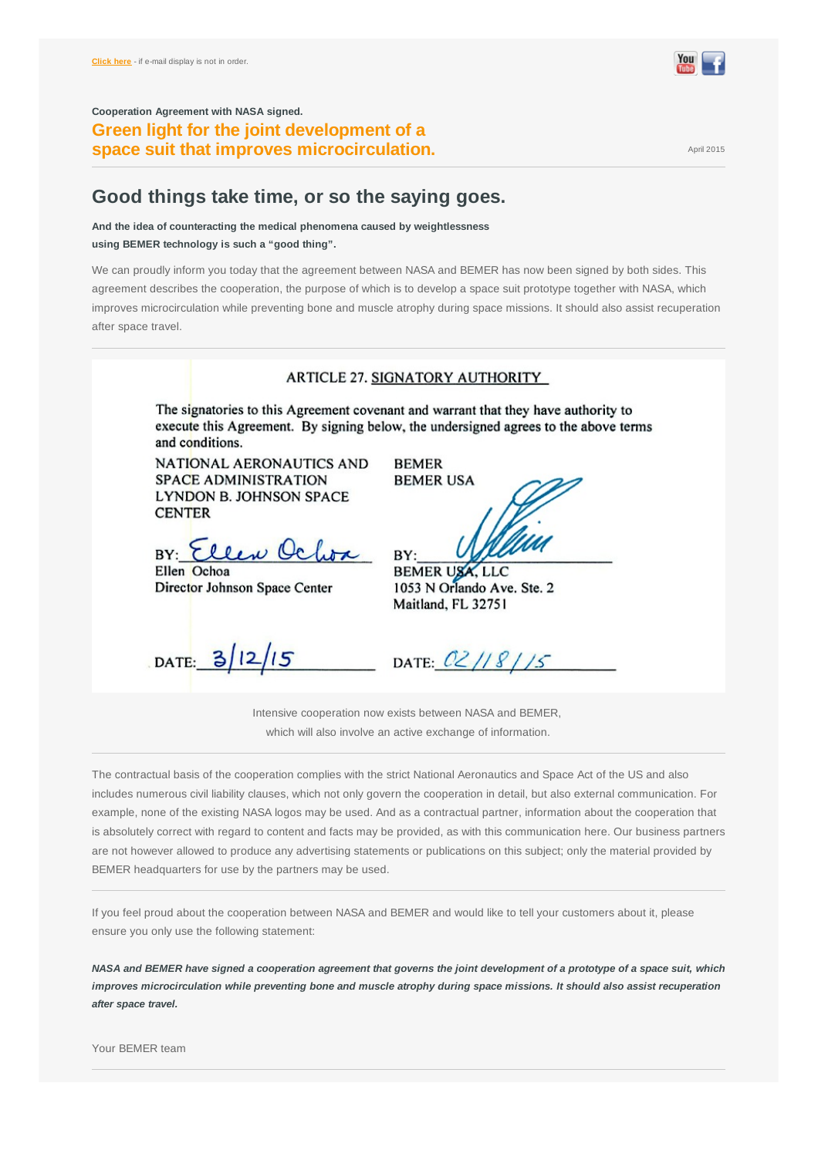<span id="page-0-0"></span>**Cooperation Agreement with NASA signed. Green light for the joint development of a Space suit that improves microcirculation.** The state of the state of  $A<sub>piil 2015</sub>$ 

## **Good things take time, or so the saying goes.**

**And the idea of counteracting the medical phenomena caused by weightlessness using BEMER technology is such a "good thing".**

We can proudly inform you today that the agreement between NASA and BEMER has now been signed by both sides. This agreement describes the cooperation, the purpose of which is to develop a space suit prototype together with NASA, which improves microcirculation while preventing bone and muscle atrophy during space missions. It should also assist recuperation after space travel.

|                                                                                                            | <b>ARTICLE 27. SIGNATORY AUTHORITY</b>                                                                                                                                    |
|------------------------------------------------------------------------------------------------------------|---------------------------------------------------------------------------------------------------------------------------------------------------------------------------|
| and conditions.                                                                                            | The signatories to this Agreement covenant and warrant that they have authority to<br>execute this Agreement. By signing below, the undersigned agrees to the above terms |
| NATIONAL AERONAUTICS AND<br><b>SPACE ADMINISTRATION</b><br><b>LYNDON B. JOHNSON SPACE</b><br><b>CENTER</b> | <b>BEMER</b><br><b>BEMER USA</b>                                                                                                                                          |
| BY: Ellen Oc<br>Ellen Ochoa<br>Director Johnson Space Center                                               | BY:<br>BEMER USA, LLC<br>1053 N Orlando Ave. Ste. 2<br>Maitland, FL 32751                                                                                                 |
| 12/15<br>DATA: 3                                                                                           | DATE: $02/18/15$                                                                                                                                                          |

Intensive cooperation now exists between NASA and BEMER, which will also involve an active exchange of information.

The contractual basis of the cooperation complies with the strict National Aeronautics and Space Act of the US and also includes numerous civil liability clauses, which not only govern the cooperation in detail, but also external communication. For example, none of the existing NASA logos may be used. And as a contractual partner, information about the cooperation that is absolutely correct with regard to content and facts may be provided, as with this communication here. Our business partners are not however allowed to produce any advertising statements or publications on this subject; only the material provided by BEMER headquarters for use by the partners may be used.

If you feel proud about the cooperation between NASA and BEMER and would like to tell your customers about it, please ensure you only use the following statement:

NASA and BEMER have signed a cooperation agreement that governs the joint development of a prototype of a space suit, which improves microcirculation while preventing bone and muscle atrophy during space missions. It should also assist recuperation *after space travel.*